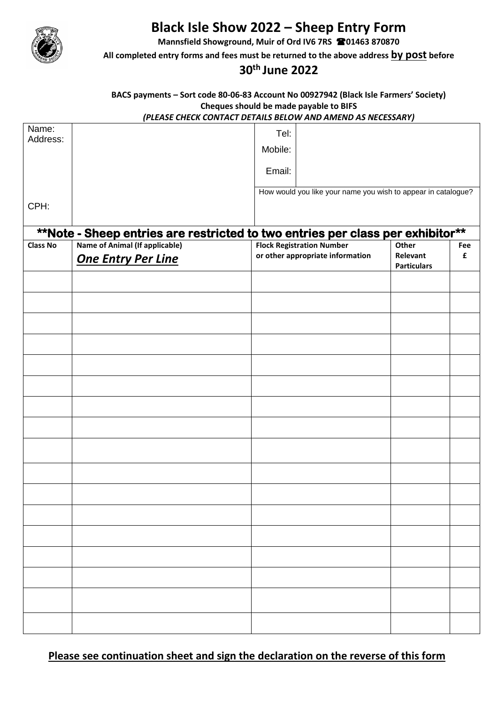

## **Black Isle Show 2022 – Sheep Entry Form**

**Mannsfield Showground, Muir of Ord IV6 7RS 01463 870870**

**All completed entry forms and fees must be returned to the above address by post before**

## **30th June 2022**

## **BACS payments – Sort code 80-06-83 Account No 00927942 (Black Isle Farmers' Society) Cheques should be made payable to BIFS**

## *(PLEASE CHECK CONTACT DETAILS BELOW AND AMEND AS NECESSARY)*

| Name:           |                                                                                | Tel:                                                                 |                          |          |
|-----------------|--------------------------------------------------------------------------------|----------------------------------------------------------------------|--------------------------|----------|
| Address:        |                                                                                | Mobile:                                                              |                          |          |
|                 |                                                                                |                                                                      |                          |          |
|                 |                                                                                | Email:                                                               |                          |          |
|                 |                                                                                | How would you like your name you wish to appear in catalogue?        |                          |          |
| CPH:            |                                                                                |                                                                      |                          |          |
|                 |                                                                                |                                                                      |                          |          |
|                 | **Note - Sheep entries are restricted to two entries per class per exhibitor** |                                                                      |                          |          |
| <b>Class No</b> | Name of Animal (If applicable)                                                 | <b>Flock Registration Number</b><br>or other appropriate information | <b>Other</b><br>Relevant | Fee<br>£ |
|                 | <b>One Entry Per Line</b>                                                      |                                                                      | <b>Particulars</b>       |          |
|                 |                                                                                |                                                                      |                          |          |
|                 |                                                                                |                                                                      |                          |          |
|                 |                                                                                |                                                                      |                          |          |
|                 |                                                                                |                                                                      |                          |          |
|                 |                                                                                |                                                                      |                          |          |
|                 |                                                                                |                                                                      |                          |          |
|                 |                                                                                |                                                                      |                          |          |
|                 |                                                                                |                                                                      |                          |          |
|                 |                                                                                |                                                                      |                          |          |
|                 |                                                                                |                                                                      |                          |          |
|                 |                                                                                |                                                                      |                          |          |
|                 |                                                                                |                                                                      |                          |          |
|                 |                                                                                |                                                                      |                          |          |
|                 |                                                                                |                                                                      |                          |          |
|                 |                                                                                |                                                                      |                          |          |
|                 |                                                                                |                                                                      |                          |          |
|                 |                                                                                |                                                                      |                          |          |
|                 |                                                                                |                                                                      |                          |          |
|                 |                                                                                |                                                                      |                          |          |
|                 |                                                                                |                                                                      |                          |          |
|                 |                                                                                |                                                                      |                          |          |
|                 |                                                                                |                                                                      |                          |          |
|                 |                                                                                |                                                                      |                          |          |

**Please see continuation sheet and sign the declaration on the reverse of this form**